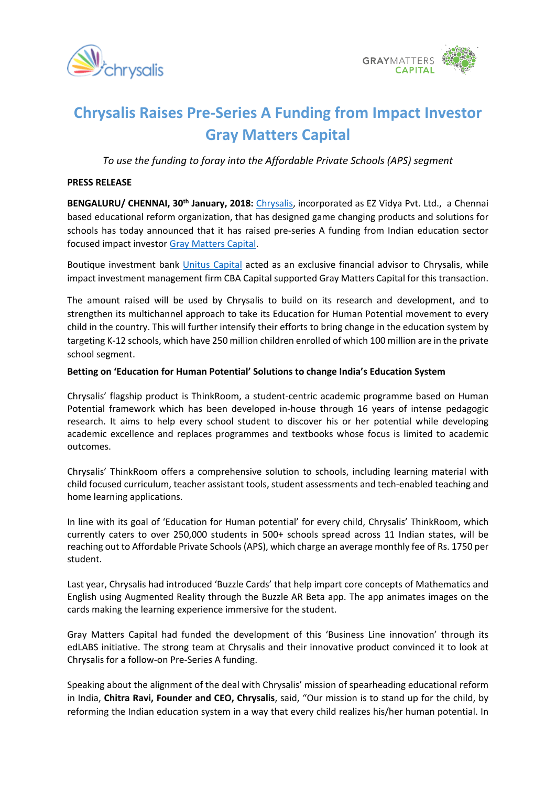



# **Chrysalis Raises Pre-Series A Funding from Impact Investor Gray Matters Capital**

*To use the funding to foray into the Affordable Private Schools (APS) segment* 

### **PRESS RELEASE**

**BENGALURU/ CHENNAI, 30th January, 2018:** [Chrysalis,](http://chrysalis.world/index.php#dream) incorporated as EZ Vidya Pvt. Ltd., a Chennai based educational reform organization, that has designed game changing products and solutions for schools has today announced that it has raised pre-series A funding from Indian education sector focused impact investor [Gray Matters Capital](http://graymatterscap.com/).

Boutique investment bank [Unitus Capital](http://unituscapital.com/) acted as an exclusive financial advisor to Chrysalis, while impact investment management firm CBA Capital supported Gray Matters Capital for this transaction.

The amount raised will be used by Chrysalis to build on its research and development, and to strengthen its multichannel approach to take its Education for Human Potential movement to every child in the country. This will further intensify their efforts to bring change in the education system by targeting K-12 schools, which have 250 million children enrolled of which 100 million are in the private school segment.

## **Betting on 'Education for Human Potential' Solutions to change India's Education System**

Chrysalis' flagship product is ThinkRoom, a student-centric academic programme based on Human Potential framework which has been developed in-house through 16 years of intense pedagogic research. It aims to help every school student to discover his or her potential while developing academic excellence and replaces programmes and textbooks whose focus is limited to academic outcomes.

Chrysalis' ThinkRoom offers a comprehensive solution to schools, including learning material with child focused curriculum, teacher assistant tools, student assessments and tech-enabled teaching and home learning applications.

In line with its goal of 'Education for Human potential' for every child, Chrysalis' ThinkRoom, which currently caters to over 250,000 students in 500+ schools spread across 11 Indian states, will be reaching out to Affordable Private Schools (APS), which charge an average monthly fee of Rs. 1750 per student.

Last year, Chrysalis had introduced 'Buzzle Cards' that help impart core concepts of Mathematics and English using Augmented Reality through the Buzzle AR Beta app. The app animates images on the cards making the learning experience immersive for the student.

Gray Matters Capital had funded the development of this 'Business Line innovation' through its edLABS initiative. The strong team at Chrysalis and their innovative product convinced it to look at Chrysalis for a follow-on Pre-Series A funding.

Speaking about the alignment of the deal with Chrysalis' mission of spearheading educational reform in India, **Chitra Ravi, Founder and CEO, Chrysalis**, said, "Our mission is to stand up for the child, by reforming the Indian education system in a way that every child realizes his/her human potential. In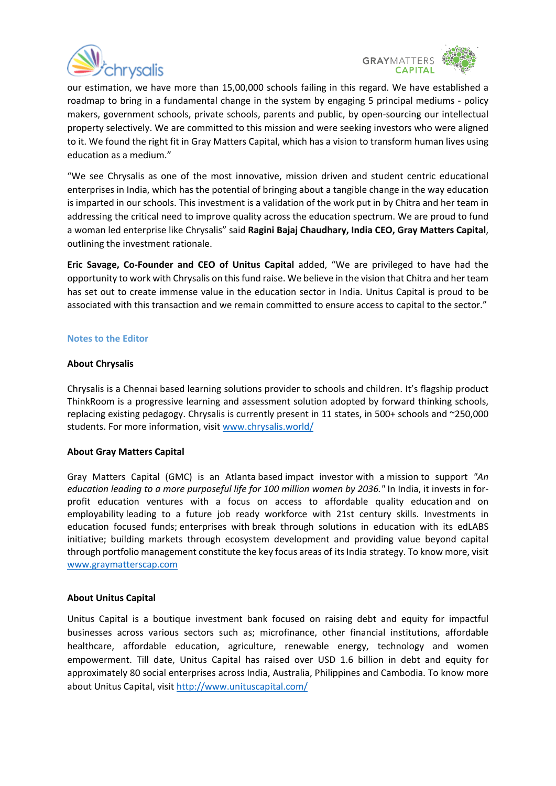



our estimation, we have more than 15,00,000 schools failing in this regard. We have established a roadmap to bring in a fundamental change in the system by engaging 5 principal mediums - policy makers, government schools, private schools, parents and public, by open-sourcing our intellectual property selectively. We are committed to this mission and were seeking investors who were aligned to it. We found the right fit in Gray Matters Capital, which has a vision to transform human lives using education as a medium."

"We see Chrysalis as one of the most innovative, mission driven and student centric educational enterprises in India, which has the potential of bringing about a tangible change in the way education is imparted in our schools. This investment is a validation of the work put in by Chitra and her team in addressing the critical need to improve quality across the education spectrum. We are proud to fund a woman led enterprise like Chrysalis" said **Ragini Bajaj Chaudhary, India CEO, Gray Matters Capital**, outlining the investment rationale.

**Eric Savage, Co-Founder and CEO of Unitus Capital** added, "We are privileged to have had the opportunity to work with Chrysalis on this fund raise. We believe in the vision that Chitra and her team has set out to create immense value in the education sector in India. Unitus Capital is proud to be associated with this transaction and we remain committed to ensure access to capital to the sector."

### **Notes to the Editor**

### **About Chrysalis**

Chrysalis is a Chennai based learning solutions provider to schools and children. It's flagship product ThinkRoom is a progressive learning and assessment solution adopted by forward thinking schools, replacing existing pedagogy. Chrysalis is currently present in 11 states, in 500+ schools and ~250,000 students. For more information, visit [www.chrysalis.world/](http://www.chrysalis.world/)

### **About Gray Matters Capital**

Gray Matters Capital (GMC) is an Atlanta based impact investor with a mission to support *"An education leading to a more purposeful life for 100 million women by 2036."* In India, it invests in forprofit education ventures with a focus on access to affordable quality education and on employability leading to a future job ready workforce with 21st century skills. Investments in education focused funds; enterprises with break through solutions in education with its edLABS initiative; building markets through ecosystem development and providing value beyond capital through portfolio management constitute the key focus areas of its India strategy. To know more, visit [www.graymatterscap.com](http://www.graymatterscap.com/)

#### **About Unitus Capital**

Unitus Capital is a boutique investment bank focused on raising debt and equity for impactful businesses across various sectors such as; microfinance, other financial institutions, affordable healthcare, affordable education, agriculture, renewable energy, technology and women empowerment. Till date, Unitus Capital has raised over USD 1.6 billion in debt and equity for approximately 80 social enterprises across India, Australia, Philippines and Cambodia. To know more about Unitus Capital, visit<http://www.unituscapital.com/>